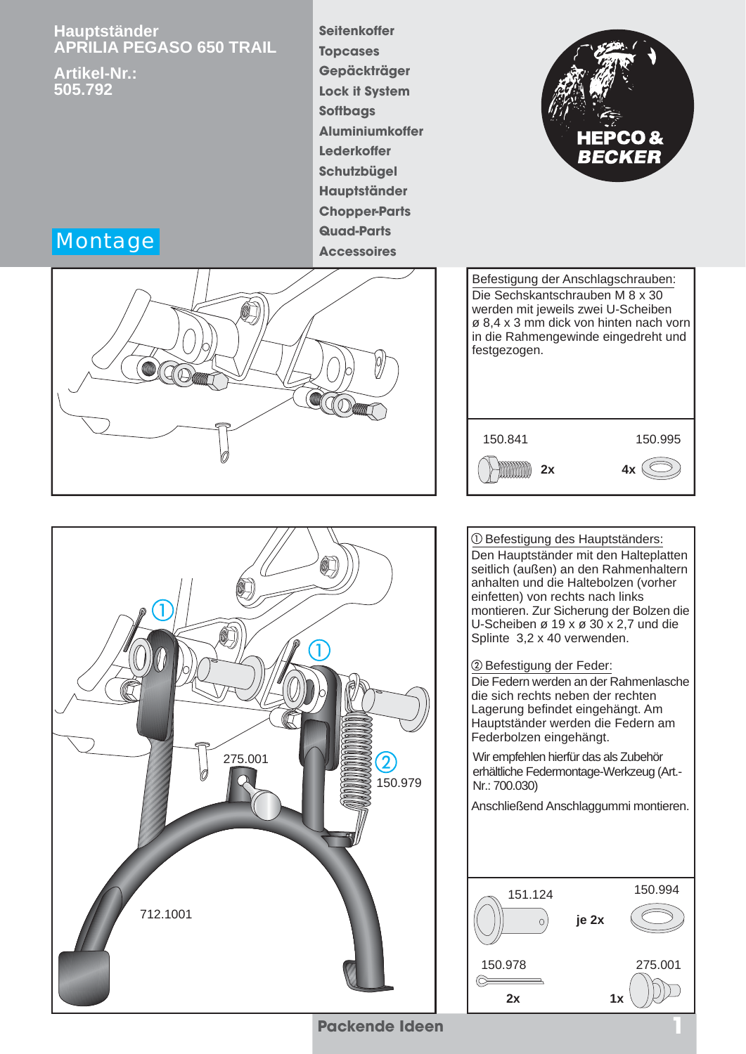**Hauptständer APRILIA PEGASO 650 TRAIL**

**Artikel-Nr.: 505.792**

**Seitenkoffer Topcases Gepäckträger Lock it System Softbags Aluminiumkoffer Lederkoffer Schutzbügel Hauptständer Chopper-Parts Quad-Parts Accessoires**



# Montage







 Befestigung des Hauptständers: Den Hauptständer mit den Halteplatten seitlich (außen) an den Rahmenhaltern anhalten und die Haltebolzen (vorher einfetten) von rechts nach links montieren. Zur Sicherung der Bolzen die U-Scheiben ø 19 x ø 30 x 2,7 und die Splinte 3,2 x 40 verwenden. Befestigung der Feder: Die Federn werden an der Rahmenlasche die sich rechts neben der rechten Lagerung befindet eingehängt. Am Hauptständer werden die Federn am Federbolzen eingehängt. Wir empfehlen hierfür das als Zubehör erhältliche Federmontage-Werkzeug (Art.- Nr.: 700.030) Anschließend Anschlaggummi montieren. 150.994 151.124**je 2x**  $\circ$ 150.978 275.001 ര **2x 1x**

**Packende Ideen 1**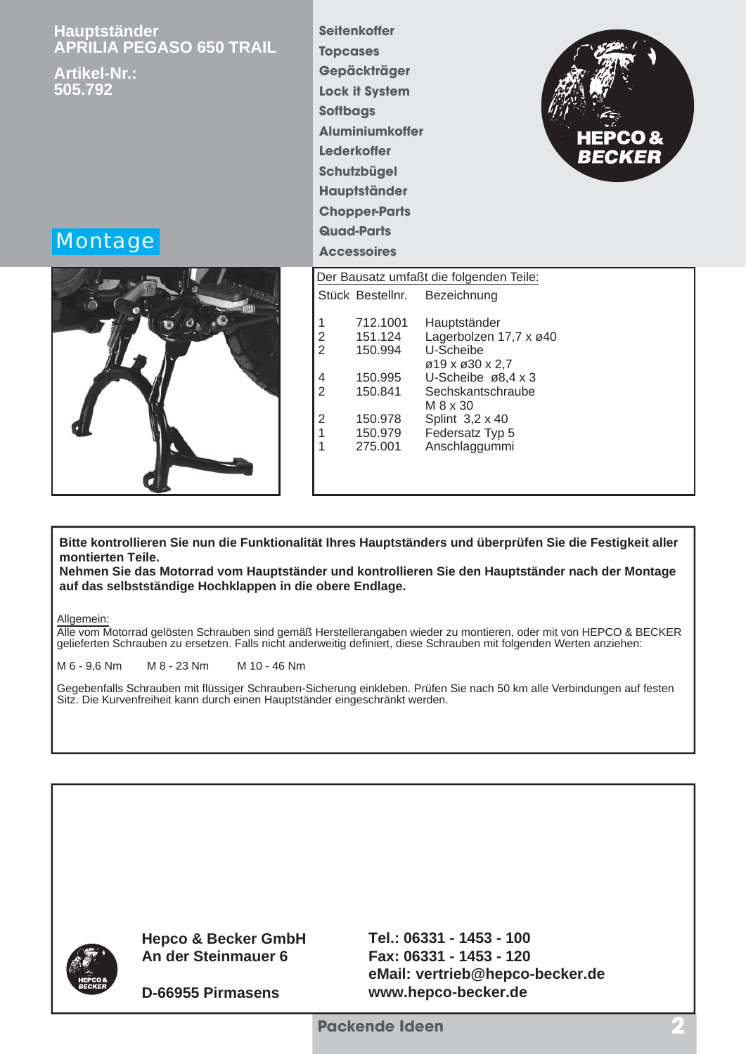| <b>Hauptständer</b><br><b>APRILIA PEGASO 650 TRAIL</b><br><b>Artikel-Nr.:</b><br>505.792<br><b>Montage</b> | <b>Topcases</b><br><b>Softbags</b><br><b>Lederkoffer</b><br><b>Quad-Parts</b><br><b>Accessoires</b>                                                                                           | <b>Seitenkoffer</b><br>Gepäckträger<br><b>Lock it System</b><br><b>Aluminiumkoffer</b><br><b>HEPCO&amp;</b><br><b>BECKER</b><br>Schutzbügel<br>Hauptständer<br><b>Chopper-Parts</b> |                                                                                                                                                                                                                                                             |
|------------------------------------------------------------------------------------------------------------|-----------------------------------------------------------------------------------------------------------------------------------------------------------------------------------------------|-------------------------------------------------------------------------------------------------------------------------------------------------------------------------------------|-------------------------------------------------------------------------------------------------------------------------------------------------------------------------------------------------------------------------------------------------------------|
|                                                                                                            | Stück Bestellnr.<br>1<br>$\frac{2}{2}$<br>151.124<br>150.994<br>150.995<br>4<br>$\overline{2}$<br>150.841<br>$\overline{2}$<br>150.978<br>$\overline{1}$<br>150.979<br>$\mathbf 1$<br>275.001 | 712.1001                                                                                                                                                                            | Der Bausatz umfaßt die folgenden Teile:<br>Bezeichnung<br>Hauptständer<br>Lagerbolzen 17,7 x ø40<br>U-Scheibe<br>ø19 x ø30 x 2,7<br>U-Scheibe $\varnothing$ 8,4 x 3<br>Sechskantschraube<br>M 8 x 30<br>Splint 3,2 x 40<br>Federsatz Typ 5<br>Anschlaggummi |

**Bitte kontrollieren Sie nun die Funktionalität Ihres Hauptständers und überprüfen Sie die Festigkeit aller montierten Teile.**

**Nehmen Sie das Motorrad vom Hauptständer und kontrollieren Sie den Hauptständer nach der Montage auf das selbstständige Hochklappen in die obere Endlage.**

Allgemein:

Alle vom Motorrad gelösten Schrauben sind gemäß Herstellerangaben wieder zu montieren, oder mit von HEPCO & BECKER gelieferten Schrauben zu ersetzen. Falls nicht anderweitig definiert, diese Schrauben mit folgenden Werten anziehen:

M 6 - 9,6 Nm M 8 - 23 Nm M 10 - 46 Nm

Gegebenfalls Schrauben mit flüssiger Schrauben-Sicherung einkleben. Prüfen Sie nach 50 km alle Verbindungen auf festen Sitz. Die Kurvenfreiheit kann durch einen Hauptständer eingeschränkt werden.



**Hepco & Becker GmbH An der Steinmauer 6**

**D-66955 Pirmasens**

**Tel.: 06331 - 1453 - 100 Fax: 06331 - 1453 - 120 eMail: vertrieb@hepco-becker.de www.hepco-becker.de**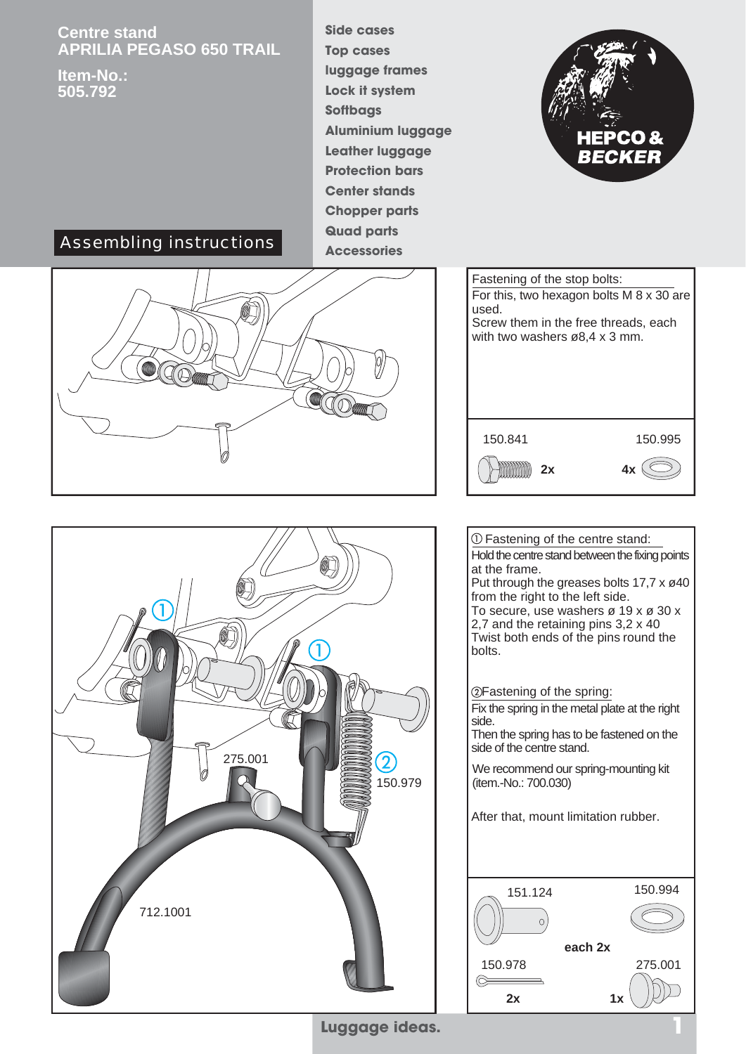#### **Centre stand APRILIA PEGASO 650 TRAIL**

**Item-No.: 505.792**

**Side cases Top cases luggage frames Lock it system Softbags Aluminium luggage Leather luggage Protection bars Center stands Chopper parts Quad parts Accessories**



## Assembling instructions









**Luggage ideas.**